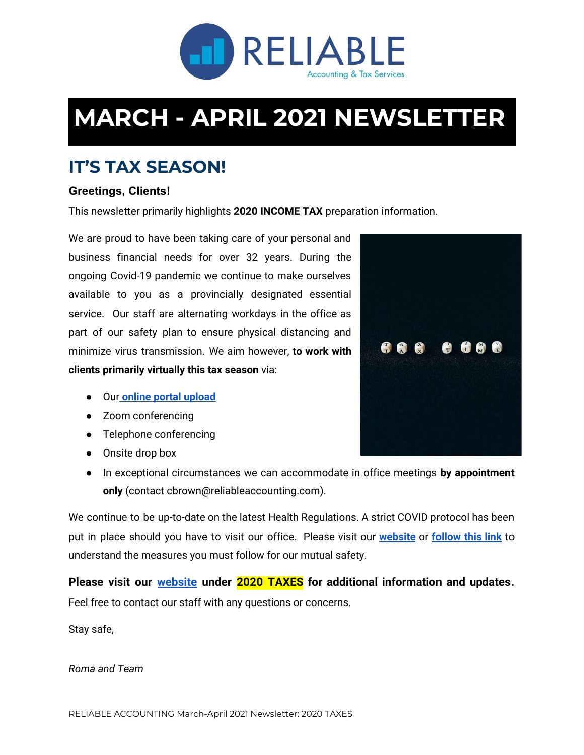

# **MARCH - APRIL 2021 NEWSLETTER**

# **IT'S TAX SEASON!**

#### **Greetings, Clients!**

This newsletter primarily highlights **2020 INCOME TAX** preparation information.

We are proud to have been taking care of your personal and business financial needs for over 32 years. During the ongoing Covid-19 pandemic we continue to make ourselves available to you as a provincially designated essential service. Our staff are alternating workdays in the office as part of our safety plan to ensure physical distancing and minimize virus transmission. We aim however, **to work with clients primarily virtually this tax season** via:

- Ou[r](https://www.clienttrackportal.com/OES.html?id=01D1568A-6A99-422F-B1A9-4A6739AA7A10) **online portal [upload](https://www.clienttrackportal.com/OES.html?id=01D1568A-6A99-422F-B1A9-4A6739AA7A10)**
- Zoom conferencing
- Telephone conferencing
- Onsite drop box
- In exceptional circumstances we can accommodate in office meetings **by appointment only** (contact cbrown@reliableaccounting.com).

We continue to be up-to-date on the latest Health Regulations. A strict COVID protocol has been put in place should you have to visit our office. Please visit our **[website](https://reliableaccounting.com/)** or **[follow](https://reliableaccounting.com/wp-content/uploads/2021/03/COVID-19-During-Tax-Season-2021.pdf) this link** to understand the measures you must follow for our mutual safety.

**Please visit our [website](https://reliableaccounting.com/) under 2020 TAXES for additional information and updates.** Feel free to contact our staff with any questions or concerns.

Stay safe,

*Roma and Team*

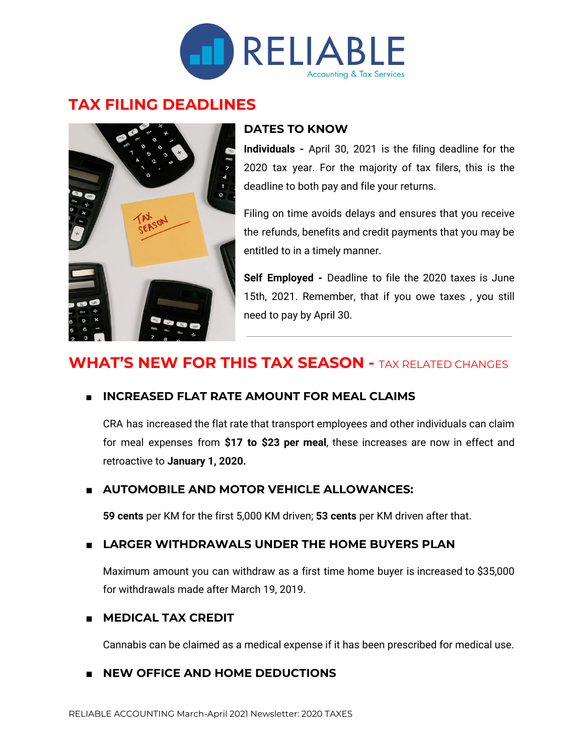

## **TAX FILING DEADLINES**



#### **DATES TO KNOW**

**Individuals -** April 30, 2021 is the filing deadline for the 2020 tax year. For the majority of tax filers, this is the deadline to both pay and file your returns.

Filing on time avoids delays and ensures that you receive the refunds, benefits and credit payments that you may be entitled to in a timely manner.

**Self Employed -** Deadline to file the 2020 taxes is June 15th, 2021. Remember, that if you owe taxes , you still need to pay by April 30.

# **WHAT'S NEW FOR THIS TAX SEASON -** TAX RELATED CHANGES

#### **■ INCREASED FLAT RATE AMOUNT FOR MEAL CLAIMS**

CRA has increased the flat rate that transport employees and other individuals can claim for meal expenses from **\$17 to \$23 per meal**, these increases are now in effect and retroactive to **January 1, 2020.**

#### **■ AUTOMOBILE AND MOTOR VEHICLE ALLOWANCES:**

**59 cents** per KM for the first 5,000 KM driven; **53 cents** per KM driven after that.

#### **■ LARGER WITHDRAWALS UNDER THE HOME BUYERS PLAN**

Maximum amount you can withdraw as a first time home buyer is increased to \$35,000 for withdrawals made after March 19, 2019.

#### **■ MEDICAL TAX CREDIT**

Cannabis can be claimed as a medical expense if it has been prescribed for medical use.

#### **■ NEW OFFICE AND HOME DEDUCTIONS**